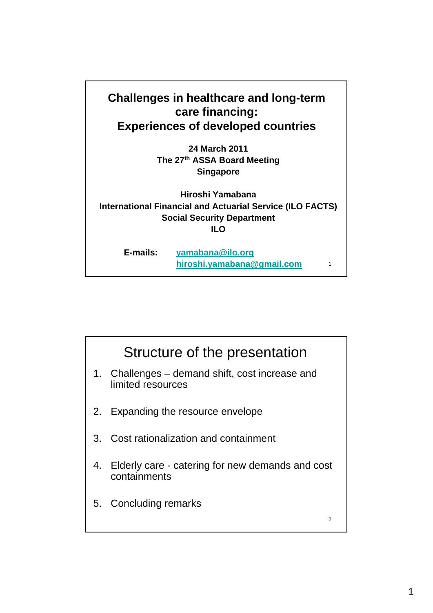

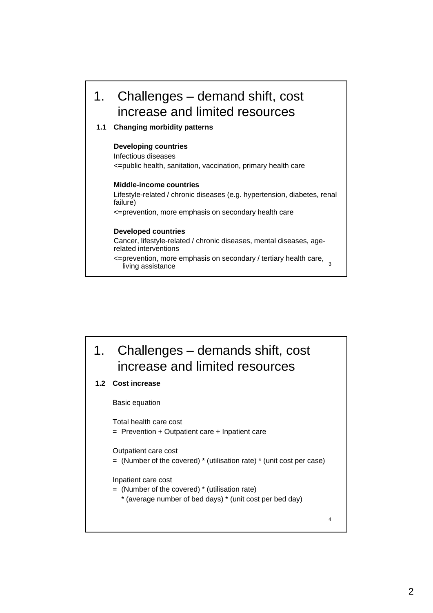

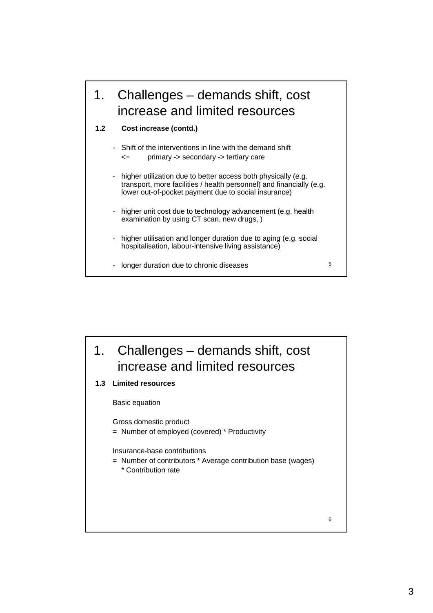

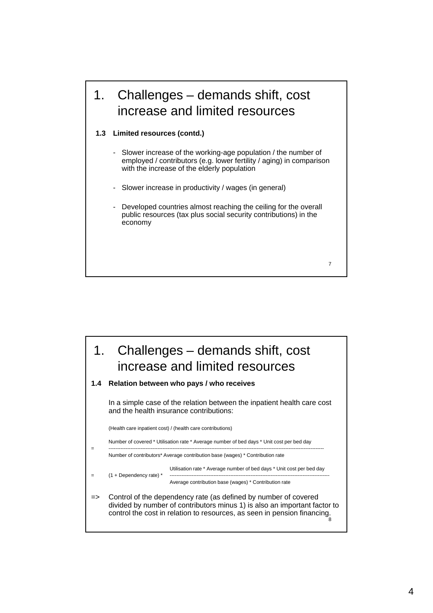### 1. Challenges – demands shift, cost increase and limited resources

### **1.3 Limited resources (contd.)**

- Slower increase of the working-age population / the number of employed / contributors (e.g. lower fertility / aging) in comparison with the increase of the elderly population
- Slower increase in productivity / wages (in general)
- Developed countries almost reaching the ceiling for the overall public resources (tax plus social security contributions) in the economy

7

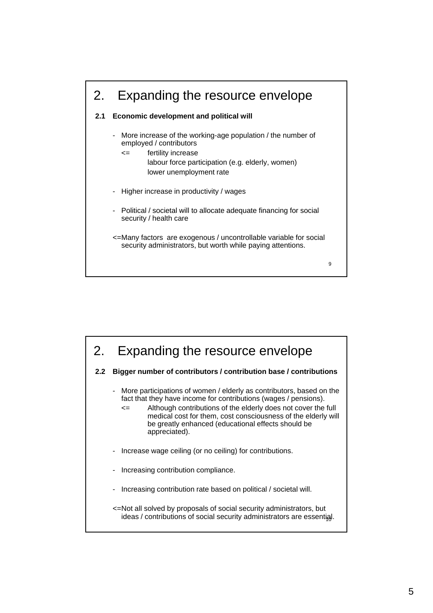

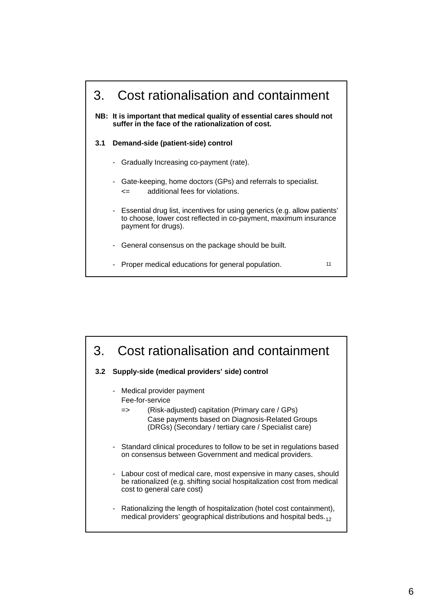

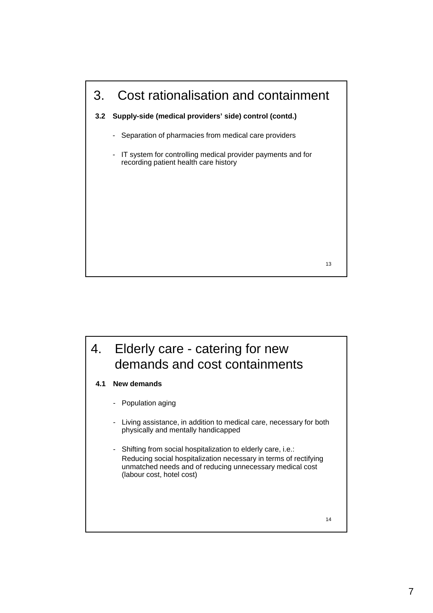

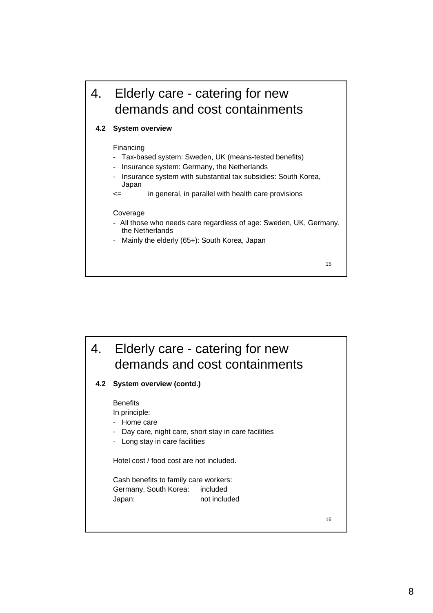

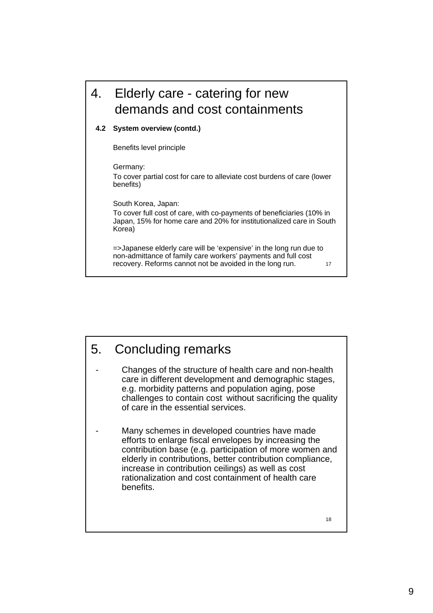# 4. Elderly care - catering for new demands and cost containments

### **4.2 System overview (contd.)**

Benefits level principle

Germany:

To cover partial cost for care to alleviate cost burdens of care (lower benefits)

South Korea, Japan:

To cover full cost of care, with co-payments of beneficiaries (10% in Japan, 15% for home care and 20% for institutionalized care in South Korea)

17 =>Japanese elderly care will be 'expensive' in the long run due to non-admittance of family care workers' payments and full cost recovery. Reforms cannot not be avoided in the long run.

## 5. Concluding remarks

Changes of the structure of health care and non-health care in different development and demographic stages, e.g. morbidity patterns and population aging, pose challenges to contain cost without sacrificing the quality of care in the essential services.

Many schemes in developed countries have made efforts to enlarge fiscal envelopes by increasing the contribution base (e.g. participation of more women and elderly in contributions, better contribution compliance, increase in contribution ceilings) as well as cost increase in contribution ceilings) as well as rationalization and cost containment of health care benefits.

18